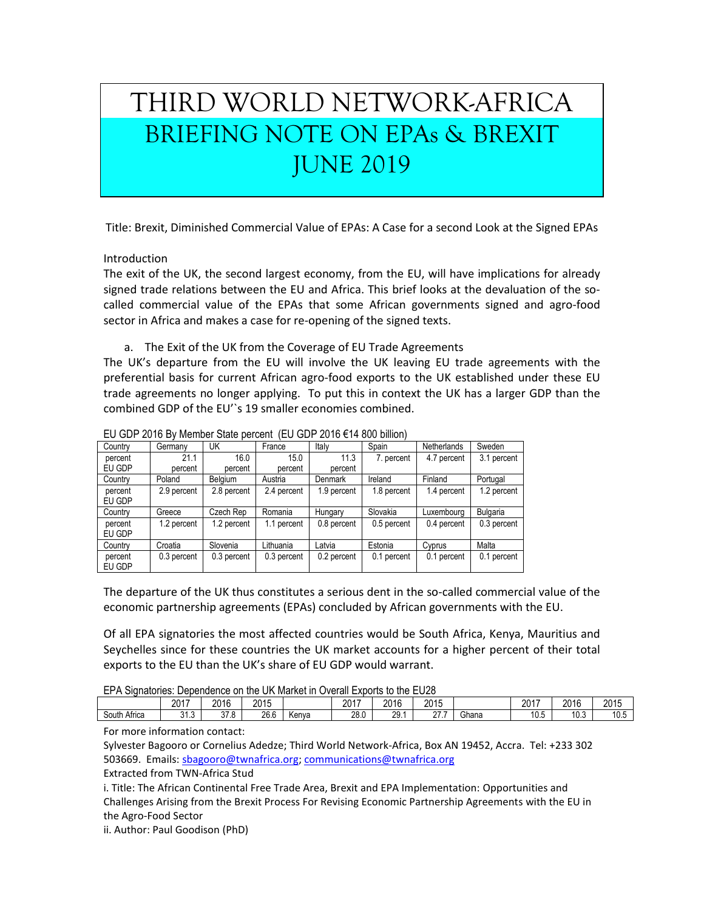## THIRD WORLD NETWORK-AFRICA BRIEFING NOTE ON EPAs & BREXIT JUNE 2019

Title: Brexit, Diminished Commercial Value of EPAs: A Case for a second Look at the Signed EPAs

Introduction

The exit of the UK, the second largest economy, from the EU, will have implications for already signed trade relations between the EU and Africa. This brief looks at the devaluation of the socalled commercial value of the EPAs that some African governments signed and agro-food sector in Africa and makes a case for re-opening of the signed texts.

a. The Exit of the UK from the Coverage of EU Trade Agreements

The UK's departure from the EU will involve the UK leaving EU trade agreements with the preferential basis for current African agro-food exports to the UK established under these EU trade agreements no longer applying. To put this in context the UK has a larger GDP than the combined GDP of the EU'`s 19 smaller economies combined.

| Country           | Germany     | UK          | France      | Italy       | Spain       | <b>Netherlands</b> | Sweden      |
|-------------------|-------------|-------------|-------------|-------------|-------------|--------------------|-------------|
| percent           | 21.1        | 16.0        | 15.0        | 11.3        | 7. percent  | 4.7 percent        | 3.1 percent |
| EU GDP            | percent     | percent     | percent     | percent     |             |                    |             |
| Country           | Poland      | Belaium     | Austria     | Denmark     | Ireland     | Finland            | Portugal    |
| percent<br>EU GDP | 2.9 percent | 2.8 percent | 2.4 percent | 1.9 percent | 1.8 percent | 1.4 percent        | 1.2 percent |
| Country           | Greece      | Czech Rep   | Romania     | Hungary     | Slovakia    | Luxembourg         | Bulgaria    |
| percent<br>EU GDP | 1.2 percent | 1.2 percent | 1.1 percent | 0.8 percent | 0.5 percent | 0.4 percent        | 0.3 percent |
| Country           | Croatia     | Slovenia    | Lithuania   | Latvia      | Estonia     | Cyprus             | Malta       |
| percent<br>EU GDP | 0.3 percent | 0.3 percent | 0.3 percent | 0.2 percent | 0.1 percent | 0.1 percent        | 0.1 percent |

## EU GDP 2016 By Member State percent (EU GDP 2016 €14 800 billion)

The departure of the UK thus constitutes a serious dent in the so-called commercial value of the economic partnership agreements (EPAs) concluded by African governments with the EU.

Of all EPA signatories the most affected countries would be South Africa, Kenya, Mauritius and Seychelles since for these countries the UK market accounts for a higher percent of their total exports to the EU than the UK's share of EU GDP would warrant.

| EPA Signatories: Dependence on the UK Market in Overall Exports to the EU28 |
|-----------------------------------------------------------------------------|
|-----------------------------------------------------------------------------|

|              | 2017          | 2016         | 2015 |       | 2017 | 2016 | 2015 |       | 2017                  | 2016 | 2015 |
|--------------|---------------|--------------|------|-------|------|------|------|-------|-----------------------|------|------|
| South Africa | 242<br>ن. ا ر | 270<br>ں ، ں | 26.6 | Kenva | 28.0 | 29.1 | 277  | Ghana | $\sim$ $\sim$<br>.U.5 | 10.3 | 10.5 |

For more information contact:

Sylvester Bagooro or Cornelius Adedze; Third World Network-Africa, Box AN 19452, Accra. Tel: +233 302 503669. Emails: [sbagooro@twnafrica.org;](mailto:sbagooro@twnafrica.org) [communications@twnafrica.org](mailto:communications@twnafrica.org)

Extracted from TWN-Africa Stud

i. Title: The African Continental Free Trade Area, Brexit and EPA Implementation: Opportunities and Challenges Arising from the Brexit Process For Revising Economic Partnership Agreements with the EU in the Agro-Food Sector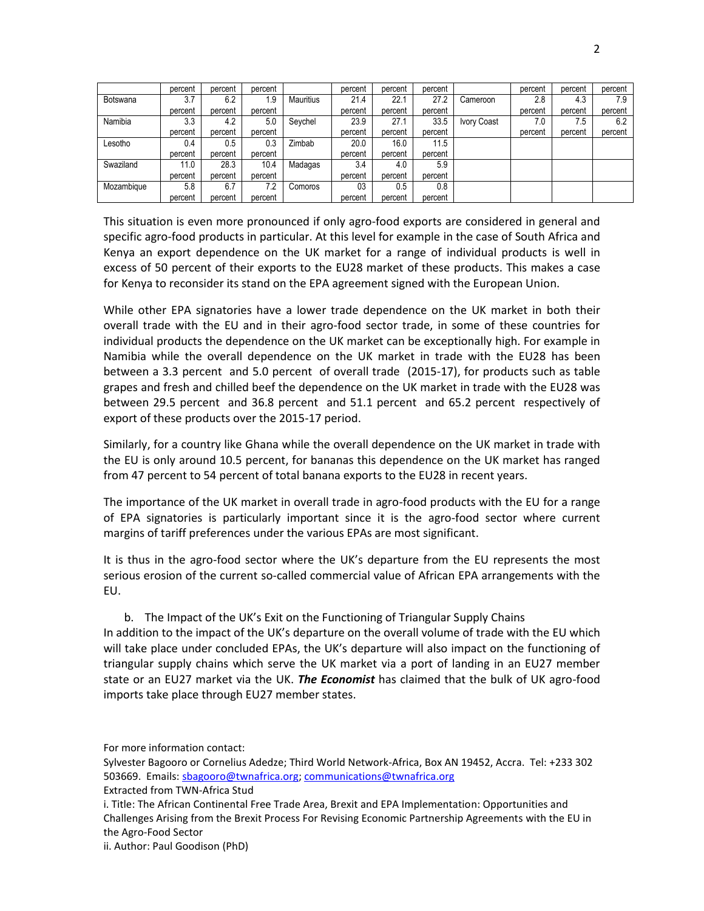|            | percent | percent | percent |           | percent | percent | percent |                    | percent | percent | percent |
|------------|---------|---------|---------|-----------|---------|---------|---------|--------------------|---------|---------|---------|
| Botswana   | 3.7     | 6.2     | 1.9     | Mauritius | 21.4    | 22.1    | 27.2    | Cameroon           | 2.8     | 4.3     | 7.9     |
|            | percent | percent | percent |           | percent | percent | percent |                    | percent | percent | percent |
| Namibia    | 3.3     | 4.2     | 5.0     | Seychel   | 23.9    | 27.1    | 33.5    | <b>Ivory Coast</b> | 7.0     | 7.5     | 6.2     |
|            | percent | percent | percent |           | percent | percent | percent |                    | percent | percent | percent |
| Lesotho    | 0.4     | 0.5     | 0.3     | Zimbab    | 20.0    | 16.0    | 11.5    |                    |         |         |         |
|            | percent | percent | percent |           | percent | percent | percent |                    |         |         |         |
| Swaziland  | 11.0    | 28.3    | 10.4    | Madagas   | 3.4     | 4.0     | 5.9     |                    |         |         |         |
|            | percent | percent | percent |           | percent | percent | percent |                    |         |         |         |
| Mozambique | 5.8     | 6.7     | 7.2     | Comoros   | 03      | 0.5     | 0.8     |                    |         |         |         |
|            | percent | percent | percent |           | percent | percent | percent |                    |         |         |         |

This situation is even more pronounced if only agro-food exports are considered in general and specific agro-food products in particular. At this level for example in the case of South Africa and Kenya an export dependence on the UK market for a range of individual products is well in excess of 50 percent of their exports to the EU28 market of these products. This makes a case for Kenya to reconsider its stand on the EPA agreement signed with the European Union.

While other EPA signatories have a lower trade dependence on the UK market in both their overall trade with the EU and in their agro-food sector trade, in some of these countries for individual products the dependence on the UK market can be exceptionally high. For example in Namibia while the overall dependence on the UK market in trade with the EU28 has been between a 3.3 percent and 5.0 percent of overall trade (2015-17), for products such as table grapes and fresh and chilled beef the dependence on the UK market in trade with the EU28 was between 29.5 percent and 36.8 percent and 51.1 percent and 65.2 percent respectively of export of these products over the 2015-17 period.

Similarly, for a country like Ghana while the overall dependence on the UK market in trade with the EU is only around 10.5 percent, for bananas this dependence on the UK market has ranged from 47 percent to 54 percent of total banana exports to the EU28 in recent years.

The importance of the UK market in overall trade in agro-food products with the EU for a range of EPA signatories is particularly important since it is the agro-food sector where current margins of tariff preferences under the various EPAs are most significant.

It is thus in the agro-food sector where the UK's departure from the EU represents the most serious erosion of the current so-called commercial value of African EPA arrangements with the EU.

b. The Impact of the UK's Exit on the Functioning of Triangular Supply Chains In addition to the impact of the UK's departure on the overall volume of trade with the EU which will take place under concluded EPAs, the UK's departure will also impact on the functioning of triangular supply chains which serve the UK market via a port of landing in an EU27 member state or an EU27 market via the UK. *The Economist* has claimed that the bulk of UK agro-food imports take place through EU27 member states.

For more information contact:

- Sylvester Bagooro or Cornelius Adedze; Third World Network-Africa, Box AN 19452, Accra. Tel: +233 302 503669. Emails: [sbagooro@twnafrica.org;](mailto:sbagooro@twnafrica.org) [communications@twnafrica.org](mailto:communications@twnafrica.org)
- Extracted from TWN-Africa Stud

i. Title: The African Continental Free Trade Area, Brexit and EPA Implementation: Opportunities and Challenges Arising from the Brexit Process For Revising Economic Partnership Agreements with the EU in the Agro-Food Sector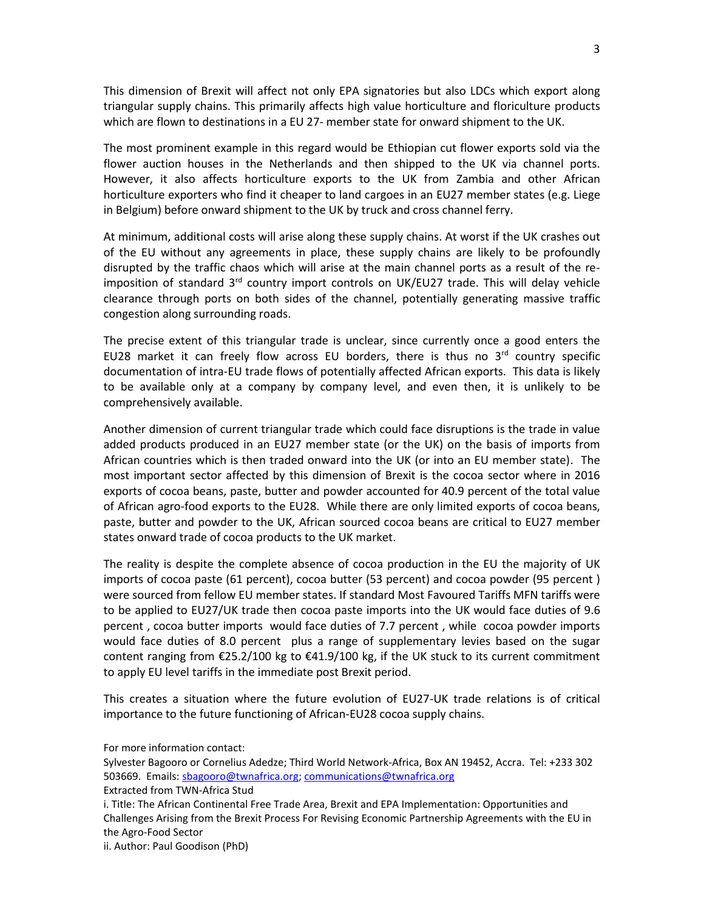This dimension of Brexit will affect not only EPA signatories but also LDCs which export along triangular supply chains. This primarily affects high value horticulture and floriculture products which are flown to destinations in a EU 27- member state for onward shipment to the UK.

The most prominent example in this regard would be Ethiopian cut flower exports sold via the flower auction houses in the Netherlands and then shipped to the UK via channel ports. However, it also affects horticulture exports to the UK from Zambia and other African horticulture exporters who find it cheaper to land cargoes in an EU27 member states (e.g. Liege in Belgium) before onward shipment to the UK by truck and cross channel ferry.

At minimum, additional costs will arise along these supply chains. At worst if the UK crashes out of the EU without any agreements in place, these supply chains are likely to be profoundly disrupted by the traffic chaos which will arise at the main channel ports as a result of the reimposition of standard  $3<sup>rd</sup>$  country import controls on UK/EU27 trade. This will delay vehicle clearance through ports on both sides of the channel, potentially generating massive traffic congestion along surrounding roads.

The precise extent of this triangular trade is unclear, since currently once a good enters the EU28 market it can freely flow across EU borders, there is thus no  $3<sup>rd</sup>$  country specific documentation of intra-EU trade flows of potentially affected African exports. This data is likely to be available only at a company by company level, and even then, it is unlikely to be comprehensively available.

Another dimension of current triangular trade which could face disruptions is the trade in value added products produced in an EU27 member state (or the UK) on the basis of imports from African countries which is then traded onward into the UK (or into an EU member state). The most important sector affected by this dimension of Brexit is the cocoa sector where in 2016 exports of cocoa beans, paste, butter and powder accounted for 40.9 percent of the total value of African agro-food exports to the EU28. While there are only limited exports of cocoa beans, paste, butter and powder to the UK, African sourced cocoa beans are critical to EU27 member states onward trade of cocoa products to the UK market.

The reality is despite the complete absence of cocoa production in the EU the majority of UK imports of cocoa paste (61 percent), cocoa butter (53 percent) and cocoa powder (95 percent ) were sourced from fellow EU member states. If standard Most Favoured Tariffs MFN tariffs were to be applied to EU27/UK trade then cocoa paste imports into the UK would face duties of 9.6 percent , cocoa butter imports would face duties of 7.7 percent , while cocoa powder imports would face duties of 8.0 percent plus a range of supplementary levies based on the sugar content ranging from  $\epsilon$ 25.2/100 kg to  $\epsilon$ 41.9/100 kg, if the UK stuck to its current commitment to apply EU level tariffs in the immediate post Brexit period.

This creates a situation where the future evolution of EU27-UK trade relations is of critical importance to the future functioning of African-EU28 cocoa supply chains.

For more information contact:

Sylvester Bagooro or Cornelius Adedze; Third World Network-Africa, Box AN 19452, Accra. Tel: +233 302 503669. Emails: [sbagooro@twnafrica.org;](mailto:sbagooro@twnafrica.org) [communications@twnafrica.org](mailto:communications@twnafrica.org) Extracted from TWN-Africa Stud

i. Title: The African Continental Free Trade Area, Brexit and EPA Implementation: Opportunities and Challenges Arising from the Brexit Process For Revising Economic Partnership Agreements with the EU in the Agro-Food Sector